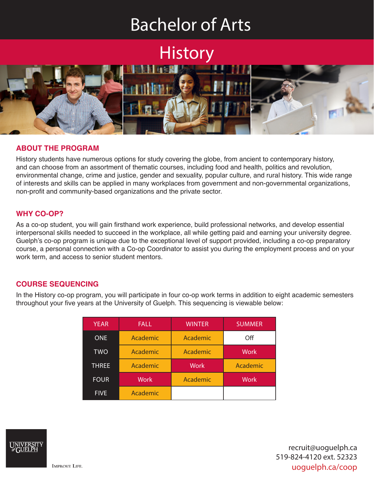# Bachelor of Arts

# **History**



# **ABOUT THE PROGRAM**

History students have numerous options for study covering the globe, from ancient to contemporary history, and can choose from an assortment of thematic courses, including food and health, politics and revolution, environmental change, crime and justice, gender and sexuality, popular culture, and rural history. This wide range of interests and skills can be applied in many workplaces from government and non-governmental organizations, non-profit and community-based organizations and the private sector.

# **WHY CO-OP?**

As a co-op student, you will gain firsthand work experience, build professional networks, and develop essential interpersonal skills needed to succeed in the workplace, all while getting paid and earning your university degree. Guelph's co-op program is unique due to the exceptional level of support provided, including a co-op preparatory course, a personal connection with a Co-op Coordinator to assist you during the employment process and on your work term, and access to senior student mentors.

# **COURSE SEQUENCING**

In the History co-op program, you will participate in four co-op work terms in addition to eight academic semesters throughout your five years at the University of Guelph. This sequencing is viewable below:

| <b>YEAR</b> | FALL              | <b>WINTER</b> | <b>SUMMER</b> |
|-------------|-------------------|---------------|---------------|
| <b>ONE</b>  | Academic          | Academic      | Off           |
| <b>TWO</b>  | Academic          | Academic      | <b>Work</b>   |
| THREE       | Academic          | <b>Work</b>   | Academic      |
|             |                   |               |               |
| <b>FOUR</b> | Work <sup>'</sup> | Academic      | <b>Work</b>   |



recruit@uoguelph.ca 519-824-4120 ext. 52323 uoguelph.ca/coop